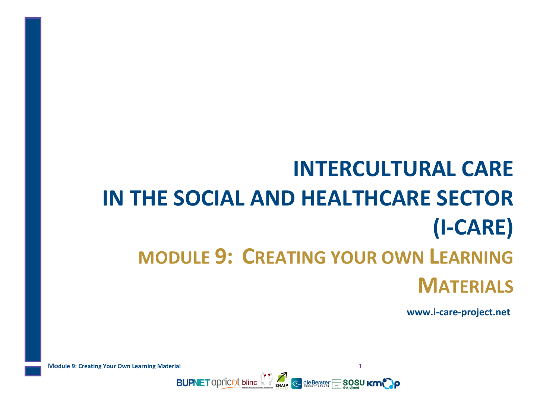# **INTERCULTURAL CARE IN THE SOCIAL AND HEALTHCARE SECTOR (I-CARE) MODULE 9: CREATING YOUR OWN LEARNING MATERIALS**

**www.i-care-project.net**

**Module 9: Creating Your Own Learning Material** 1 **BUPNET** apricot bline  $\left\| \cdot \right\|$  and  $\left\| \cdot \right\|$  die Berater  $\frac{1}{2}$  SOSU KMC P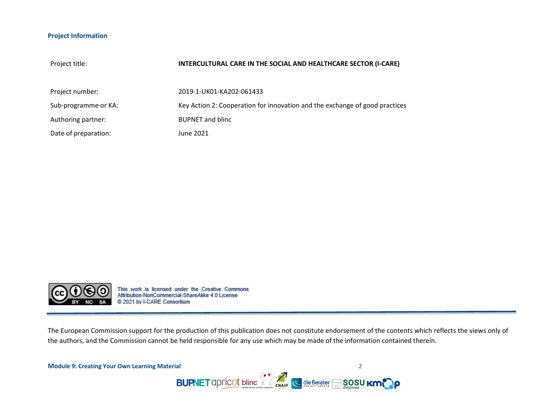#### **Project Information**

| Project title:       | INTERCULTURAL CARE IN THE SOCIAL AND HEALTHCARE SECTOR (I-CARE)             |
|----------------------|-----------------------------------------------------------------------------|
| Project number:      | 2019-1-UK01-KA202-061433                                                    |
| Sub-programme or KA: | Key Action 2: Cooperation for innovation and the exchange of good practices |
| Authoring partner:   | <b>BUPNET and blinc</b>                                                     |
| Date of preparation: | June 2021                                                                   |



This work is licensed under the Creative Commons<br>Attribution-NonCommercial-ShareAlike 4.0 License @ 2021 by I-CARE Consortium

The European Commission support for the production of this publication does not constitute endorsement of the contents which reflects the views only of the authors, and the Commission cannot be held responsible for any use which may be made of the information contained therein.

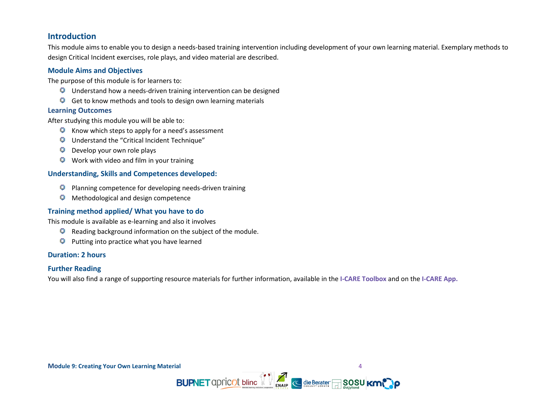# <span id="page-3-0"></span>**Introduction**

This module aims to enable you to design a needs-based training intervention including development of your own learning material. Exemplary methods to design Critical Incident exercises, role plays, and video material are described.

#### <span id="page-3-1"></span>**Module Aims and Objectives**

The purpose of this module is for learners to:

- $\Box$  Understand how a needs-driven training intervention can be designed
- $\overline{\mathbb{P}}$  Get to know methods and tools to design own learning materials

#### **Learning Outcomes**

After studying this module you will be able to:

- $\overline{\mathbb{P}}$  Know which steps to apply for a need's assessment
- Understand the "Critical Incident Technique"
- $\overline{\mathbb{P}}$  Develop your own role plays
- $\overline{\mathbb{P}}$  Work with video and film in your training

#### <span id="page-3-2"></span>**Understanding, Skills and Competences developed:**

- Planning competence for developing needs-driven training Ģ
- Methodological and design competence ģ

## <span id="page-3-3"></span>**Training method applied/ What you have to do**

This module is available as e-learning and also it involves

- $\Box$  Reading background information on the subject of the module.
- Putting into practice what you have learned Ģ

#### **Duration: 2 hours**

#### <span id="page-3-4"></span>**Further Reading**

You will also find a range of supporting resource materials for further information, available in the **I-CARE Toolbox** and on the **I-CARE App.**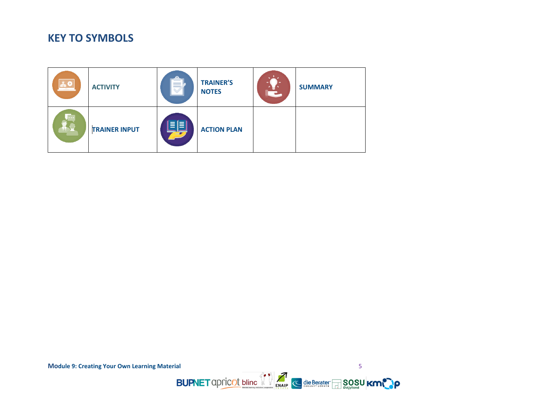# **KEY TO SYMBOLS**



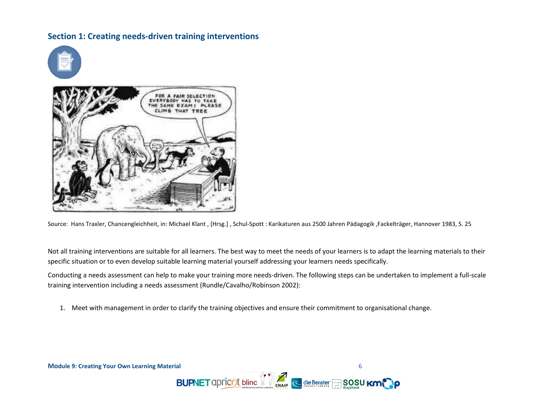# <span id="page-5-0"></span>**Section 1: Creating needs-driven training interventions**



Source: Hans Traxler, Chancengleichheit, in: Michael Klant , [Hrsg.] , Schul-Spott : Karikaturen aus 2500 Jahren Pädagogik ,Fackelträger, Hannover 1983, S. 25

Not all training interventions are suitable for all learners. The best way to meet the needs of your learners is to adapt the learning materials to their specific situation or to even develop suitable learning material yourself addressing your learners needs specifically.

Conducting a needs assessment can help to make your training more needs-driven. The following steps can be undertaken to implement a full-scale training intervention including a needs assessment (Rundle/Cavalho/Robinson 2002):

1. Meet with management in order to clarify the training objectives and ensure their commitment to organisational change.



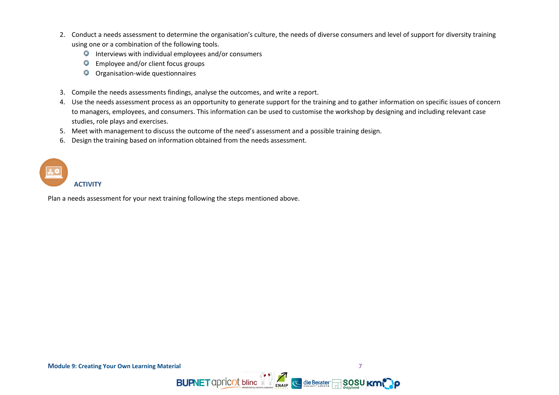- 2. Conduct a needs assessment to determine the organisation's culture, the needs of diverse consumers and level of support for diversity training using one or a combination of the following tools.
	- $\Box$  Interviews with individual employees and/or consumers
	- $\overline{\mathbb{P}}$  Employee and/or client focus groups
	- Organisation-wide questionnaires
- 3. Compile the needs assessments findings, analyse the outcomes, and write a report.
- 4. Use the needs assessment process as an opportunity to generate support for the training and to gather information on specific issues of concern to managers, employees, and consumers. This information can be used to customise the workshop by designing and including relevant case studies, role plays and exercises.
- 5. Meet with management to discuss the outcome of the need's assessment and a possible training design.
- 6. Design the training based on information obtained from the needs assessment.

# **ACTIVITY**

<span id="page-6-0"></span>Plan a needs assessment for your next training following the steps mentioned above.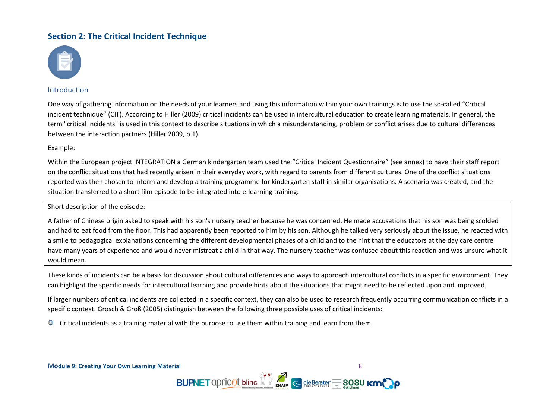# **Section 2: The Critical Incident Technique**



#### Introduction

One way of gathering information on the needs of your learners and using this information within your own trainings is to use the so-called "Critical incident technique" (CIT). According to Hiller (2009) critical incidents can be used in intercultural education to create learning materials. In general, the term "critical incidents" is used in this context to describe situations in which a misunderstanding, problem or conflict arises due to cultural differences between the interaction partners (Hiller 2009, p.1).

#### Example:

Within the European project INTEGRATION a German kindergarten team used the "Critical Incident Questionnaire" (see annex) to have their staff report on the conflict situations that had recently arisen in their everyday work, with regard to parents from different cultures. One of the conflict situations reported was then chosen to inform and develop a training programme for kindergarten staff in similar organisations. A scenario was created, and the situation transferred to a short film episode to be integrated into e-learning training.

Short description of the episode:

A father of Chinese origin asked to speak with his son's nursery teacher because he was concerned. He made accusations that his son was being scolded and had to eat food from the floor. This had apparently been reported to him by his son. Although he talked very seriously about the issue, he reacted with a smile to pedagogical explanations concerning the different developmental phases of a child and to the hint that the educators at the day care centre have many years of experience and would never mistreat a child in that way. The nursery teacher was confused about this reaction and was unsure what it would mean.

These kinds of incidents can be a basis for discussion about cultural differences and ways to approach intercultural conflicts in a specific environment. They can highlight the specific needs for intercultural learning and provide hints about the situations that might need to be reflected upon and improved.

If larger numbers of critical incidents are collected in a specific context, they can also be used to research frequently occurring communication conflicts in a specific context. Grosch & Groß (2005) distinguish between the following three possible uses of critical incidents:

**BUPNET** apricot bline  $\mathbb{Z}$  **M**  $\leq$  die Berater **SOSU** Kr

Critical incidents as a training material with the purpose to use them within training and learn from them9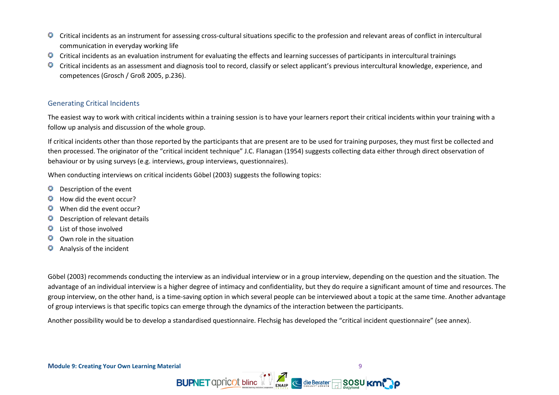- g Critical incidents as an instrument for assessing cross-cultural situations specific to the profession and relevant areas of conflict in intercultural communication in everyday working life
- Critical incidents as an evaluation instrument for evaluating the effects and learning successes of participants in intercultural trainings g
- Critical incidents as an assessment and diagnosis tool to record, classify or select applicant's previous intercultural knowledge, experience, and Ģ competences (Grosch / Groß 2005, p.236).

## Generating Critical Incidents

The easiest way to work with critical incidents within a training session is to have your learners report their critical incidents within your training with a follow up analysis and discussion of the whole group.

If critical incidents other than those reported by the participants that are present are to be used for training purposes, they must first be collected and then processed. The originator of the "critical incident technique" J.C. Flanagan (1954) suggests collecting data either through direct observation of behaviour or by using surveys (e.g. interviews, group interviews, questionnaires).

When conducting interviews on critical incidents Göbel (2003) suggests the following topics:

- Description of the event g
- How did the event occur? g
- When did the event occur? g
- Description of relevant details g
- List of those involved G
- Own role in the situation G
- g Analysis of the incident

Göbel (2003) recommends conducting the interview as an individual interview or in a group interview, depending on the question and the situation. The advantage of an individual interview is a higher degree of intimacy and confidentiality, but they do require a significant amount of time and resources. The group interview, on the other hand, is a time-saving option in which several people can be interviewed about a topic at the same time. Another advantage of group interviews is that specific topics can emerge through the dynamics of the interaction between the participants.

Another possibility would be to develop a standardised questionnaire. Flechsig has developed the "critical incident questionnaire" (see annex).

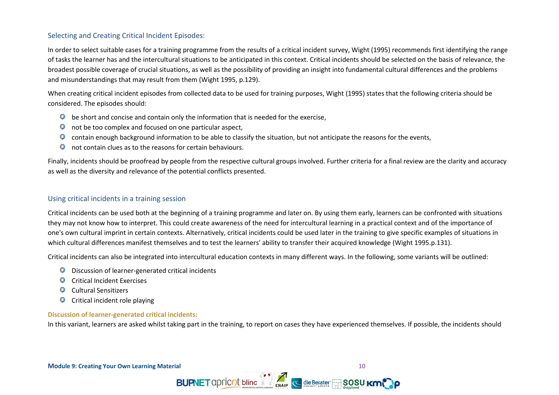# Selecting and Creating Critical Incident Episodes:

In order to select suitable cases for a training programme from the results of a critical incident survey, Wight (1995) recommends first identifying the range of tasks the learner has and the intercultural situations to be anticipated in this context. Critical incidents should be selected on the basis of relevance, the broadest possible coverage of crucial situations, as well as the possibility of providing an insight into fundamental cultural differences and the problems and misunderstandings that may result from them (Wight 1995, p.129).

When creating critical incident episodes from collected data to be used for training purposes, Wight (1995) states that the following criteria should be considered. The episodes should:

- $\Box$  be short and concise and contain only the information that is needed for the exercise,
- $\Box$  not be too complex and focused on one particular aspect,
- contain enough background information to be able to classify the situation, but not anticipate the reasons for the events, Ģ
- not contain clues as to the reasons for certain behaviours. ģ

Finally, incidents should be proofread by people from the respective cultural groups involved. Further criteria for a final review are the clarity and accuracy as well as the diversity and relevance of the potential conflicts presented.

#### Using critical incidents in a training session

Critical incidents can be used both at the beginning of a training programme and later on. By using them early, learners can be confronted with situations they may not know how to interpret. This could create awareness of the need for intercultural learning in a practical context and of the importance of one's own cultural imprint in certain contexts. Alternatively, critical incidents could be used later in the training to give specific examples of situations in which cultural differences manifest themselves and to test the learners' ability to transfer their acquired knowledge (Wight 1995.p.131).

Critical incidents can also be integrated into intercultural education contexts in many different ways. In the following, some variants will be outlined:

- $\Box$  Discussion of learner-generated critical incidents
- **D** Critical Incident Exercises
- G Cultural Sensitizers
- Ģ Critical incident role playing

#### **Discussion of learner-generated critical incidents:**

In this variant, learners are asked whilst taking part in the training, to report on cases they have experienced themselves. If possible, the incidents should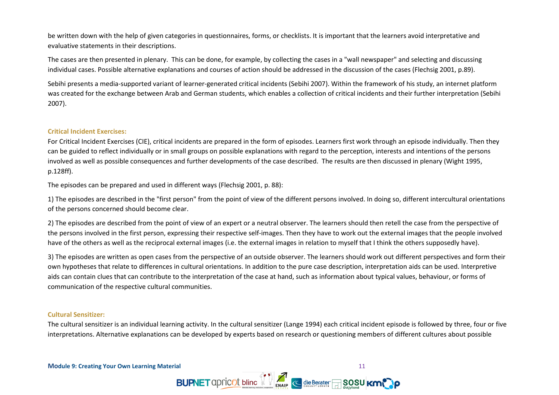be written down with the help of given categories in questionnaires, forms, or checklists. It is important that the learners avoid interpretative and evaluative statements in their descriptions.

The cases are then presented in plenary. This can be done, for example, by collecting the cases in a "wall newspaper" and selecting and discussing individual cases. Possible alternative explanations and courses of action should be addressed in the discussion of the cases (Flechsig 2001, p.89).

Sebihi presents a media-supported variant of learner-generated critical incidents (Sebihi 2007). Within the framework of his study, an internet platform was created for the exchange between Arab and German students, which enables a collection of critical incidents and their further interpretation (Sebihi 2007).

#### **Critical Incident Exercises:**

For Critical Incident Exercises (CIE), critical incidents are prepared in the form of episodes. Learners first work through an episode individually. Then they can be guided to reflect individually or in small groups on possible explanations with regard to the perception, interests and intentions of the persons involved as well as possible consequences and further developments of the case described. The results are then discussed in plenary (Wight 1995, p.128ff).

The episodes can be prepared and used in different ways (Flechsig 2001, p. 88):

1) The episodes are described in the "first person" from the point of view of the different persons involved. In doing so, different intercultural orientations of the persons concerned should become clear.

2) The episodes are described from the point of view of an expert or a neutral observer. The learners should then retell the case from the perspective of the persons involved in the first person, expressing their respective self-images. Then they have to work out the external images that the people involved have of the others as well as the reciprocal external images (i.e. the external images in relation to myself that I think the others supposedly have).

3) The episodes are written as open cases from the perspective of an outside observer. The learners should work out different perspectives and form their own hypotheses that relate to differences in cultural orientations. In addition to the pure case description, interpretation aids can be used. Interpretive aids can contain clues that can contribute to the interpretation of the case at hand, such as information about typical values, behaviour, or forms of communication of the respective cultural communities.

#### **Cultural Sensitizer:**

The cultural sensitizer is an individual learning activity. In the cultural sensitizer (Lange 1994) each critical incident episode is followed by three, four or five interpretations. Alternative explanations can be developed by experts based on research or questioning members of different cultures about possible

**BUPNET** apricot bline  $\frac{1}{2}$  alle Berater and **SOSU** Km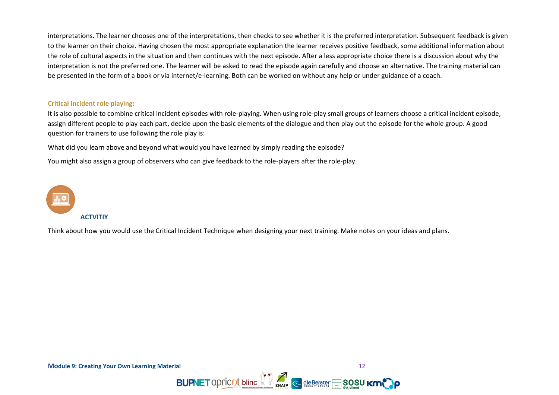interpretations. The learner chooses one of the interpretations, then checks to see whether it is the preferred interpretation. Subsequent feedback is given to the learner on their choice. Having chosen the most appropriate explanation the learner receives positive feedback, some additional information about the role of cultural aspects in the situation and then continues with the next episode. After a less appropriate choice there is a discussion about why the interpretation is not the preferred one. The learner will be asked to read the episode again carefully and choose an alternative. The training material can be presented in the form of a book or via internet/e-learning. Both can be worked on without any help or under guidance of a coach.

#### **Critical Incident role playing:**

It is also possible to combine critical incident episodes with role-playing. When using role-play small groups of learners choose a critical incident episode, assign different people to play each part, decide upon the basic elements of the dialogue and then play out the episode for the whole group. A good question for trainers to use following the role play is:

What did you learn above and beyond what would you have learned by simply reading the episode?

You might also assign a group of observers who can give feedback to the role-players after the role-play.



Think about how you would use the Critical Incident Technique when designing your next training. Make notes on your ideas and plans.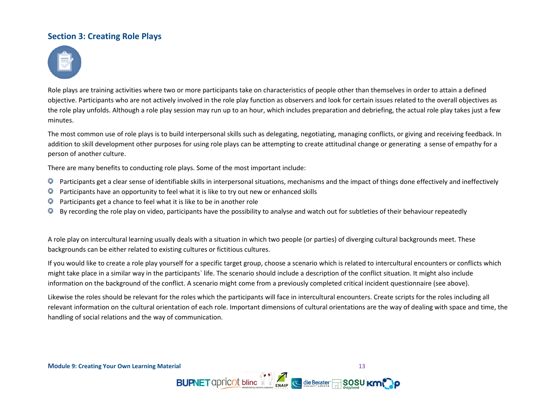# <span id="page-12-0"></span>**Section 3: Creating Role Plays**



Role plays are training activities where two or more participants take on characteristics of people other than themselves in order to attain a defined objective. Participants who are not actively involved in the role play function as observers and look for certain issues related to the overall objectives as the role play unfolds. Although a role play session may run up to an hour, which includes preparation and debriefing, the actual role play takes just a few minutes.

The most common use of role plays is to build interpersonal skills such as delegating, negotiating, managing conflicts, or giving and receiving feedback. In addition to skill development other purposes for using role plays can be attempting to create attitudinal change or generating a sense of empathy for a person of another culture.

There are many benefits to conducting role plays. Some of the most important include:

- Participants get a clear sense of identifiable skills in interpersonal situations, mechanisms and the impact of things done effectively and ineffectively Ģ
- g Participants have an opportunity to feel what it is like to try out new or enhanced skills
- Participants get a chance to feel what it is like to be in another role ģ
- By recording the role play on video, participants have the possibility to analyse and watch out for subtleties of their behaviour repeatedly g

A role play on intercultural learning usually deals with a situation in which two people (or parties) of diverging cultural backgrounds meet. These backgrounds can be either related to existing cultures or fictitious cultures.

If you would like to create a role play yourself for a specific target group, choose a scenario which is related to intercultural encounters or conflicts which might take place in a similar way in the participants` life. The scenario should include a description of the conflict situation. It might also include information on the background of the conflict. A scenario might come from a previously completed critical incident questionnaire (see above).

Likewise the roles should be relevant for the roles which the participants will face in intercultural encounters. Create scripts for the roles including all relevant information on the cultural orientation of each role. Important dimensions of cultural orientations are the way of dealing with space and time, the handling of social relations and the way of communication.

**BUPNET** apricot bline  $\left\{ \right\}$   $\left\{ \right\}$  example die Berater and **SOSU KM**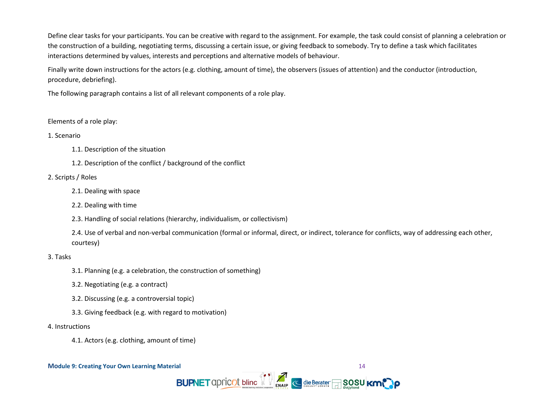Define clear tasks for your participants. You can be creative with regard to the assignment. For example, the task could consist of planning a celebration or the construction of a building, negotiating terms, discussing a certain issue, or giving feedback to somebody. Try to define a task which facilitates interactions determined by values, interests and perceptions and alternative models of behaviour.

Finally write down instructions for the actors (e.g. clothing, amount of time), the observers (issues of attention) and the conductor (introduction, procedure, debriefing).

The following paragraph contains a list of all relevant components of a role play.

#### Elements of a role play:

#### 1. Scenario

1.1. Description of the situation

1.2. Description of the conflict / background of the conflict

#### 2. Scripts / Roles

- 2.1. Dealing with space
- 2.2. Dealing with time
- 2.3. Handling of social relations (hierarchy, individualism, or collectivism)

2.4. Use of verbal and non-verbal communication (formal or informal, direct, or indirect, tolerance for conflicts, way of addressing each other, courtesy)

#### 3. Tasks

- 3.1. Planning (e.g. a celebration, the construction of something)
- 3.2. Negotiating (e.g. a contract)
- 3.2. Discussing (e.g. a controversial topic)
- 3.3. Giving feedback (e.g. with regard to motivation)

#### 4. Instructions

4.1. Actors (e.g. clothing, amount of time)

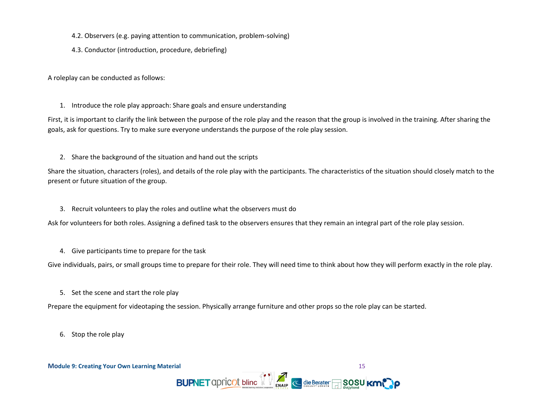- 4.2. Observers (e.g. paying attention to communication, problem-solving)
- 4.3. Conductor (introduction, procedure, debriefing)

A roleplay can be conducted as follows:

#### 1. Introduce the role play approach: Share goals and ensure understanding

First, it is important to clarify the link between the purpose of the role play and the reason that the group is involved in the training. After sharing the goals, ask for questions. Try to make sure everyone understands the purpose of the role play session.

2. Share the background of the situation and hand out the scripts

Share the situation, characters (roles), and details of the role play with the participants. The characteristics of the situation should closely match to the present or future situation of the group.

3. Recruit volunteers to play the roles and outline what the observers must do

Ask for volunteers for both roles. Assigning a defined task to the observers ensures that they remain an integral part of the role play session.

4. Give participants time to prepare for the task

Give individuals, pairs, or small groups time to prepare for their role. They will need time to think about how they will perform exactly in the role play.

**BUPNET** apricot bline  $\left\| \cdot \right\|$  and  $\left\| \cdot \right\|$  die Berater and SOSU Km

5. Set the scene and start the role play

Prepare the equipment for videotaping the session. Physically arrange furniture and other props so the role play can be started.

6. Stop the role play

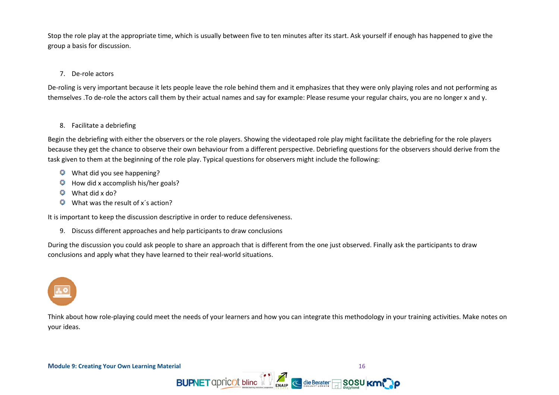Stop the role play at the appropriate time, which is usually between five to ten minutes after its start. Ask yourself if enough has happened to give the group a basis for discussion.

### 7. De-role actors

De-roling is very important because it lets people leave the role behind them and it emphasizes that they were only playing roles and not performing as themselves .To de-role the actors call them by their actual names and say for example: Please resume your regular chairs, you are no longer x and y.

#### 8. Facilitate a debriefing

Begin the debriefing with either the observers or the role players. Showing the videotaped role play might facilitate the debriefing for the role players because they get the chance to observe their own behaviour from a different perspective. Debriefing questions for the observers should derive from the task given to them at the beginning of the role play. Typical questions for observers might include the following:

- What did you see happening?
- $\Box$  How did x accomplish his/her goals?
- $\mathbb{Q}$  What did x do?
- What was the result of x's action? 9

It is important to keep the discussion descriptive in order to reduce defensiveness.

9. Discuss different approaches and help participants to draw conclusions

During the discussion you could ask people to share an approach that is different from the one just observed. Finally ask the participants to draw conclusions and apply what they have learned to their real-world situations.



Think about how role-playing could meet the needs of your learners and how you can integrate this methodology in your training activities. Make notes on your ideas.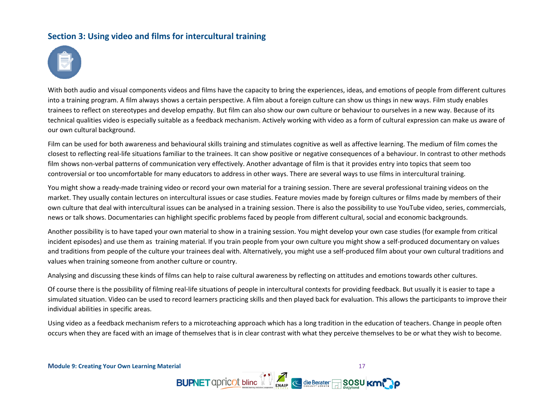# <span id="page-16-0"></span>**Section 3: Using video and films for intercultural training**



With both audio and visual components videos and films have the capacity to bring the experiences, ideas, and emotions of people from different cultures into a training program. A film always shows a certain perspective. A film about a foreign culture can show us things in new ways. Film study enables trainees to reflect on stereotypes and develop empathy. But film can also show our own culture or behaviour to ourselves in a new way. Because of its technical qualities video is especially suitable as a feedback mechanism. Actively working with video as a form of cultural expression can make us aware of our own cultural background.

Film can be used for both awareness and behavioural skills training and stimulates cognitive as well as affective learning. The medium of film comes the closest to reflecting real-life situations familiar to the trainees. It can show positive or negative consequences of a behaviour. In contrast to other methods film shows non-verbal patterns of communication very effectively. Another advantage of film is that it provides entry into topics that seem too controversial or too uncomfortable for many educators to address in other ways. There are several ways to use films in intercultural training.

You might show a ready-made training video or record your own material for a training session. There are several professional training videos on the market. They usually contain lectures on intercultural issues or case studies. Feature movies made by foreign cultures or films made by members of their own culture that deal with intercultural issues can be analysed in a training session. There is also the possibility to use YouTube video, series, commercials, news or talk shows. Documentaries can highlight specific problems faced by people from different cultural, social and economic backgrounds.

Another possibility is to have taped your own material to show in a training session. You might develop your own case studies (for example from critical incident episodes) and use them as training material. If you train people from your own culture you might show a self-produced documentary on values and traditions from people of the culture your trainees deal with. Alternatively, you might use a self-produced film about your own cultural traditions and values when training someone from another culture or country.

Analysing and discussing these kinds of films can help to raise cultural awareness by reflecting on attitudes and emotions towards other cultures.

Of course there is the possibility of filming real-life situations of people in intercultural contexts for providing feedback. But usually it is easier to tape a simulated situation. Video can be used to record learners practicing skills and then played back for evaluation. This allows the participants to improve their individual abilities in specific areas.

Using video as a feedback mechanism refers to a microteaching approach which has a long tradition in the education of teachers. Change in people often occurs when they are faced with an image of themselves that is in clear contrast with what they perceive themselves to be or what they wish to become.

**BUPNET** apricot bline 1 and 2 die Berater and 2 so su km<sup>o</sup>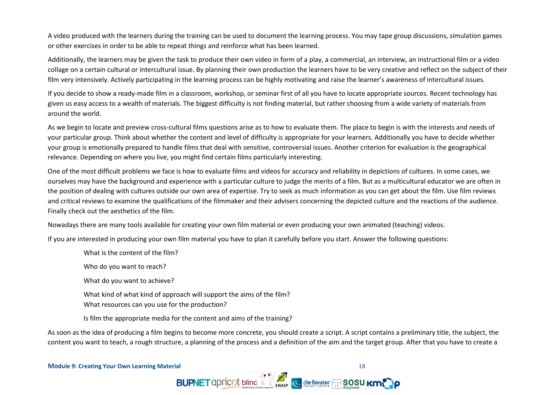A video produced with the learners during the training can be used to document the learning process. You may tape group discussions, simulation games or other exercises in order to be able to repeat things and reinforce what has been learned.

Additionally, the learners may be given the task to produce their own video in form of a play, a commercial, an interview, an instructional film or a video collage on a certain cultural or intercultural issue. By planning their own production the learners have to be very creative and reflect on the subject of their film very intensively. Actively participating in the learning process can be highly motivating and raise the learner's awareness of intercultural issues.

If you decide to show a ready-made film in a classroom, workshop, or seminar first of all you have to locate appropriate sources. Recent technology has given us easy access to a wealth of materials. The biggest difficulty is not finding material, but rather choosing from a wide variety of materials from around the world.

As we begin to locate and preview cross-cultural films questions arise as to how to evaluate them. The place to begin is with the interests and needs of your particular group. Think about whether the content and level of difficulty is appropriate for your learners. Additionally you have to decide whether your group is emotionally prepared to handle films that deal with sensitive, controversial issues. Another criterion for evaluation is the geographical relevance. Depending on where you live, you might find certain films particularly interesting.

One of the most difficult problems we face is how to evaluate films and videos for accuracy and reliability in depictions of cultures. In some cases, we ourselves may have the background and experience with a particular culture to judge the merits of a film. But as a multicultural educator we are often in the position of dealing with cultures outside our own area of expertise. Try to seek as much information as you can get about the film. Use film reviews and critical reviews to examine the qualifications of the filmmaker and their advisers concerning the depicted culture and the reactions of the audience. Finally check out the aesthetics of the film.

Nowadays there are many tools available for creating your own film material or even producing your own animated (teaching) videos.

If you are interested in producing your own film material you have to plan it carefully before you start. Answer the following questions:

- What is the content of the film?
- Who do you want to reach?
- What do you want to achieve?
- What kind of what kind of approach will support the aims of the film?
- What resources can you use for the production?
- Is film the appropriate media for the content and aims of the training?

As soon as the idea of producing a film begins to become more concrete, you should create a script. A script contains a preliminary title, the subject, the content you want to teach, a rough structure, a planning of the process and a definition of the aim and the target group. After that you have to create a

BUPNET apricot bline 1 and 6 die Berater 50 SUSU Km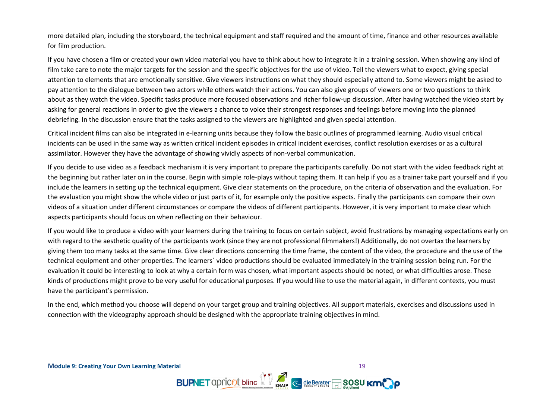more detailed plan, including the storyboard, the technical equipment and staff required and the amount of time, finance and other resources available for film production.

If you have chosen a film or created your own video material you have to think about how to integrate it in a training session. When showing any kind of film take care to note the major targets for the session and the specific objectives for the use of video. Tell the viewers what to expect, giving special attention to elements that are emotionally sensitive. Give viewers instructions on what they should especially attend to. Some viewers might be asked to pay attention to the dialogue between two actors while others watch their actions. You can also give groups of viewers one or two questions to think about as they watch the video. Specific tasks produce more focused observations and richer follow-up discussion. After having watched the video start by asking for general reactions in order to give the viewers a chance to voice their strongest responses and feelings before moving into the planned debriefing. In the discussion ensure that the tasks assigned to the viewers are highlighted and given special attention.

Critical incident films can also be integrated in e-learning units because they follow the basic outlines of programmed learning. Audio visual critical incidents can be used in the same way as written critical incident episodes in critical incident exercises, conflict resolution exercises or as a cultural assimilator. However they have the advantage of showing vividly aspects of non-verbal communication.

If you decide to use video as a feedback mechanism it is very important to prepare the participants carefully. Do not start with the video feedback right at the beginning but rather later on in the course. Begin with simple role-plays without taping them. It can help if you as a trainer take part yourself and if you include the learners in setting up the technical equipment. Give clear statements on the procedure, on the criteria of observation and the evaluation. For the evaluation you might show the whole video or just parts of it, for example only the positive aspects. Finally the participants can compare their own videos of a situation under different circumstances or compare the videos of different participants. However, it is very important to make clear which aspects participants should focus on when reflecting on their behaviour.

If you would like to produce a video with your learners during the training to focus on certain subject, avoid frustrations by managing expectations early on with regard to the aesthetic quality of the participants work (since they are not professional filmmakers!) Additionally, do not overtax the learners by giving them too many tasks at the same time. Give clear directions concerning the time frame, the content of the video, the procedure and the use of the technical equipment and other properties. The learners` video productions should be evaluated immediately in the training session being run. For the evaluation it could be interesting to look at why a certain form was chosen, what important aspects should be noted, or what difficulties arose. These kinds of productions might prove to be very useful for educational purposes. If you would like to use the material again, in different contexts, you must have the participant's permission.

In the end, which method you choose will depend on your target group and training objectives. All support materials, exercises and discussions used in connection with the videography approach should be designed with the appropriate training objectives in mind.

**Module 9: Creating Your Own Learning Material** 19

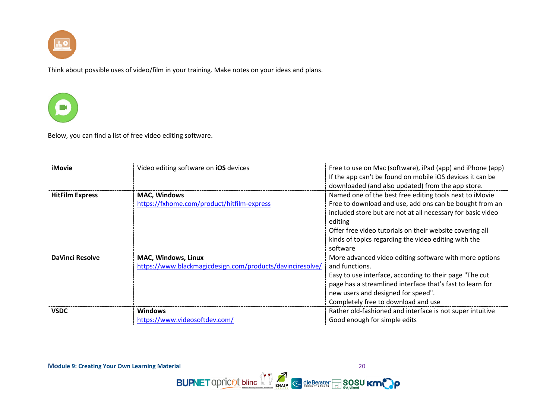

Think about possible uses of video/film in your training. Make notes on your ideas and plans.



Below, you can find a list of free video editing software.

| <b>iMovie</b>          | Video editing software on <b>iOS</b> devices                                     | Free to use on Mac (software), iPad (app) and iPhone (app)<br>If the app can't be found on mobile iOS devices it can be<br>downloaded (and also updated) from the app store.                                                                                                                                                 |
|------------------------|----------------------------------------------------------------------------------|------------------------------------------------------------------------------------------------------------------------------------------------------------------------------------------------------------------------------------------------------------------------------------------------------------------------------|
| <b>HitFilm Express</b> | <b>MAC, Windows</b><br>https://fxhome.com/product/hitfilm-express                | Named one of the best free editing tools next to iMovie<br>Free to download and use, add ons can be bought from an<br>included store but are not at all necessary for basic video<br>editing<br>Offer free video tutorials on their website covering all<br>kinds of topics regarding the video editing with the<br>software |
| <b>DaVinci Resolve</b> | MAC, Windows, Linux<br>https://www.blackmagicdesign.com/products/davinciresolve/ | More advanced video editing software with more options<br>and functions.<br>Easy to use interface, according to their page "The cut<br>page has a streamlined interface that's fast to learn for<br>new users and designed for speed".<br>Completely free to download and use                                                |
| <b>VSDC</b>            | <b>Windows</b><br>https://www.videosoftdev.com/                                  | Rather old-fashioned and interface is not super intuitive<br>Good enough for simple edits                                                                                                                                                                                                                                    |

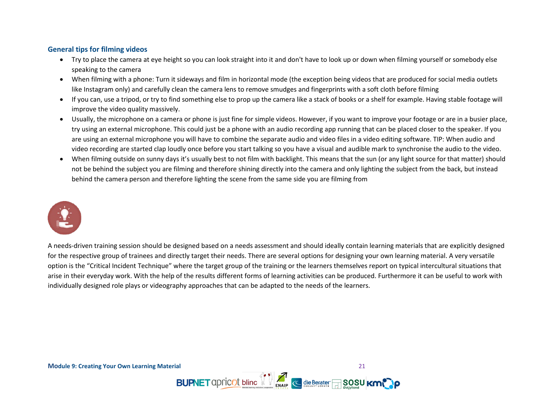## **General tips for filming videos**

- Try to place the camera at eye height so you can look straight into it and don't have to look up or down when filming yourself or somebody else speaking to the camera
- When filming with a phone: Turn it sideways and film in horizontal mode (the exception being videos that are produced for social media outlets like Instagram only) and carefully clean the camera lens to remove smudges and fingerprints with a soft cloth before filming
- If you can, use a tripod, or try to find something else to prop up the camera like a stack of books or a shelf for example. Having stable footage will improve the video quality massively.
- Usually, the microphone on a camera or phone is just fine for simple videos. However, if you want to improve your footage or are in a busier place, try using an external microphone. This could just be a phone with an audio recording app running that can be placed closer to the speaker. If you are using an external microphone you will have to combine the separate audio and video files in a video editing software. TIP: When audio and video recording are started clap loudly once before you start talking so you have a visual and audible mark to synchronise the audio to the video.
- When filming outside on sunny days it's usually best to not film with backlight. This means that the sun (or any light source for that matter) should not be behind the subject you are filming and therefore shining directly into the camera and only lighting the subject from the back, but instead behind the camera person and therefore lighting the scene from the same side you are filming from



A needs-driven training session should be designed based on a needs assessment and should ideally contain learning materials that are explicitly designed for the respective group of trainees and directly target their needs. There are several options for designing your own learning material. A very versatile option is the "Critical Incident Technique" where the target group of the training or the learners themselves report on typical intercultural situations that arise in their everyday work. With the help of the results different forms of learning activities can be produced. Furthermore it can be useful to work with individually designed role plays or videography approaches that can be adapted to the needs of the learners.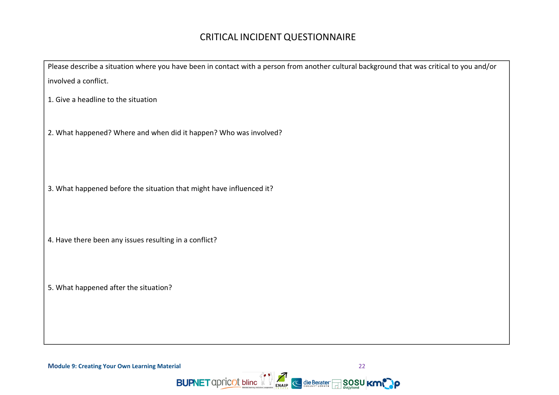# CRITICAL INCIDENT QUESTIONNAIRE

Please describe a situation where you have been in contact with a person from another cultural background that was critical to you and/or involved a conflict.

1. Give a headline to the situation

2. What happened? Where and when did it happen? Who was involved?

3. What happened before the situation that might have influenced it?

4. Have there been any issues resulting in a conflict?

5. What happened after the situation?

**Module 9: Creating Your Own Learning Material** 22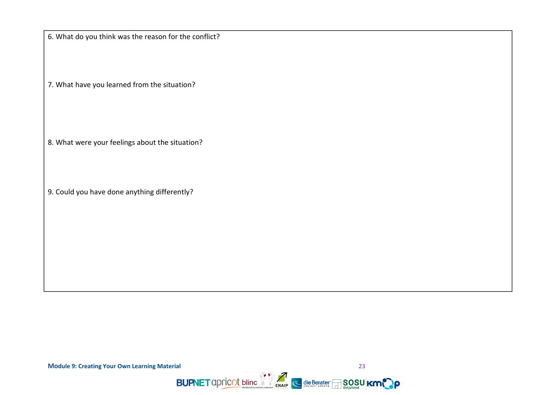6. What do you think was the reason for the conflict?

7. What have you learned from the situation?

8. What were your feelings about the situation?

9. Could you have done anything differently?